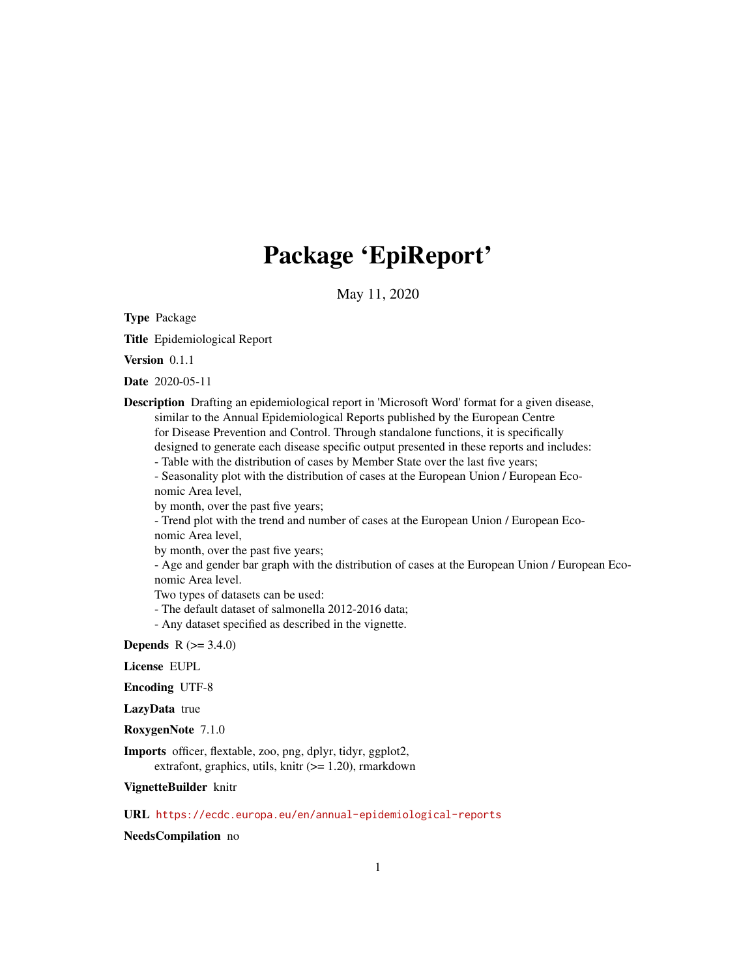# Package 'EpiReport'

May 11, 2020

<span id="page-0-0"></span>Type Package

Title Epidemiological Report

Version 0.1.1

Date 2020-05-11

Description Drafting an epidemiological report in 'Microsoft Word' format for a given disease, similar to the Annual Epidemiological Reports published by the European Centre for Disease Prevention and Control. Through standalone functions, it is specifically designed to generate each disease specific output presented in these reports and includes:

- Table with the distribution of cases by Member State over the last five years;

- Seasonality plot with the distribution of cases at the European Union / European Economic Area level,

by month, over the past five years;

- Trend plot with the trend and number of cases at the European Union / European Economic Area level,

by month, over the past five years;

- Age and gender bar graph with the distribution of cases at the European Union / European Economic Area level.

Two types of datasets can be used:

- The default dataset of salmonella 2012-2016 data;

- Any dataset specified as described in the vignette.

**Depends**  $R (= 3.4.0)$ 

License EUPL

Encoding UTF-8

LazyData true

RoxygenNote 7.1.0

Imports officer, flextable, zoo, png, dplyr, tidyr, ggplot2, extrafont, graphics, utils, knitr  $(>= 1.20)$ , rmarkdown

VignetteBuilder knitr

URL <https://ecdc.europa.eu/en/annual-epidemiological-reports>

NeedsCompilation no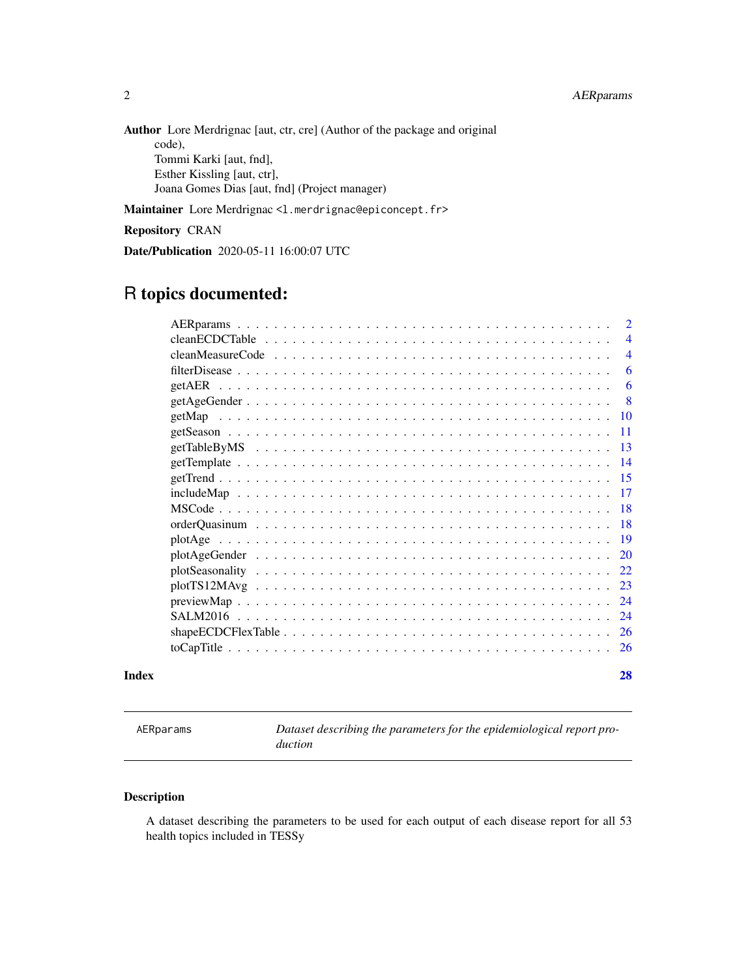<span id="page-1-0"></span>Author Lore Merdrignac [aut, ctr, cre] (Author of the package and original code), Tommi Karki [aut, fnd], Esther Kissling [aut, ctr], Joana Gomes Dias [aut, fnd] (Project manager)

Maintainer Lore Merdrignac <1.merdrignac@epiconcept.fr>

Repository CRAN

Date/Publication 2020-05-11 16:00:07 UTC

## R topics documented:

| Index |                                                                                                                                              | 28             |
|-------|----------------------------------------------------------------------------------------------------------------------------------------------|----------------|
|       |                                                                                                                                              | 26             |
|       | shape $ECDCF$ lex Table $\ldots$ $\ldots$ $\ldots$ $\ldots$ $\ldots$ $\ldots$ $\ldots$ $\ldots$ $\ldots$ $\ldots$ $\ldots$ $\ldots$ $\ldots$ | -26            |
|       |                                                                                                                                              | 24             |
|       |                                                                                                                                              | 24             |
|       |                                                                                                                                              | 23             |
|       |                                                                                                                                              | 22.            |
|       |                                                                                                                                              | 20             |
|       |                                                                                                                                              |                |
|       |                                                                                                                                              |                |
|       |                                                                                                                                              | -18            |
|       |                                                                                                                                              | -17            |
|       |                                                                                                                                              | -15            |
|       |                                                                                                                                              | -14            |
|       |                                                                                                                                              | - 13           |
|       |                                                                                                                                              | -11            |
|       |                                                                                                                                              |                |
|       |                                                                                                                                              | -8             |
|       |                                                                                                                                              | 6              |
|       |                                                                                                                                              | 6              |
|       |                                                                                                                                              | $\overline{4}$ |
|       |                                                                                                                                              | $\overline{4}$ |
|       |                                                                                                                                              | $\overline{2}$ |

<span id="page-1-1"></span>AERparams *Dataset describing the parameters for the epidemiological report production*

## Description

A dataset describing the parameters to be used for each output of each disease report for all 53 health topics included in TESSy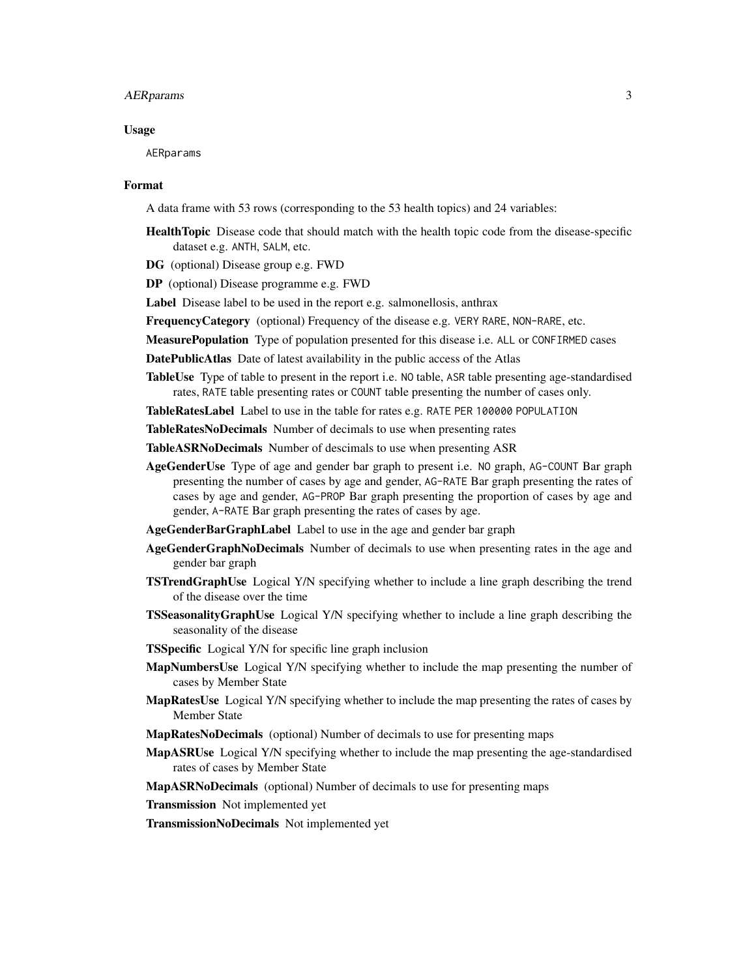## AERparams 3

#### Usage

AERparams

#### Format

A data frame with 53 rows (corresponding to the 53 health topics) and 24 variables:

- HealthTopic Disease code that should match with the health topic code from the disease-specific dataset e.g. ANTH, SALM, etc.
- DG (optional) Disease group e.g. FWD
- DP (optional) Disease programme e.g. FWD

Label Disease label to be used in the report e.g. salmonellosis, anthrax

FrequencyCategory (optional) Frequency of the disease e.g. VERY RARE, NON-RARE, etc.

- MeasurePopulation Type of population presented for this disease i.e. ALL or CONFIRMED cases
- DatePublicAtlas Date of latest availability in the public access of the Atlas
- TableUse Type of table to present in the report i.e. NO table, ASR table presenting age-standardised rates, RATE table presenting rates or COUNT table presenting the number of cases only.

TableRatesLabel Label to use in the table for rates e.g. RATE PER 100000 POPULATION

TableRatesNoDecimals Number of decimals to use when presenting rates

TableASRNoDecimals Number of descimals to use when presenting ASR

- AgeGenderUse Type of age and gender bar graph to present i.e. NO graph, AG-COUNT Bar graph presenting the number of cases by age and gender, AG-RATE Bar graph presenting the rates of cases by age and gender, AG-PROP Bar graph presenting the proportion of cases by age and gender, A-RATE Bar graph presenting the rates of cases by age.
- AgeGenderBarGraphLabel Label to use in the age and gender bar graph
- AgeGenderGraphNoDecimals Number of decimals to use when presenting rates in the age and gender bar graph
- TSTrendGraphUse Logical Y/N specifying whether to include a line graph describing the trend of the disease over the time
- TSSeasonalityGraphUse Logical Y/N specifying whether to include a line graph describing the seasonality of the disease
- **TSSpecific** Logical Y/N for specific line graph inclusion
- MapNumbersUse Logical Y/N specifying whether to include the map presenting the number of cases by Member State
- MapRatesUse Logical Y/N specifying whether to include the map presenting the rates of cases by Member State
- MapRatesNoDecimals (optional) Number of decimals to use for presenting maps
- MapASRUse Logical Y/N specifying whether to include the map presenting the age-standardised rates of cases by Member State

MapASRNoDecimals (optional) Number of decimals to use for presenting maps

Transmission Not implemented yet

TransmissionNoDecimals Not implemented yet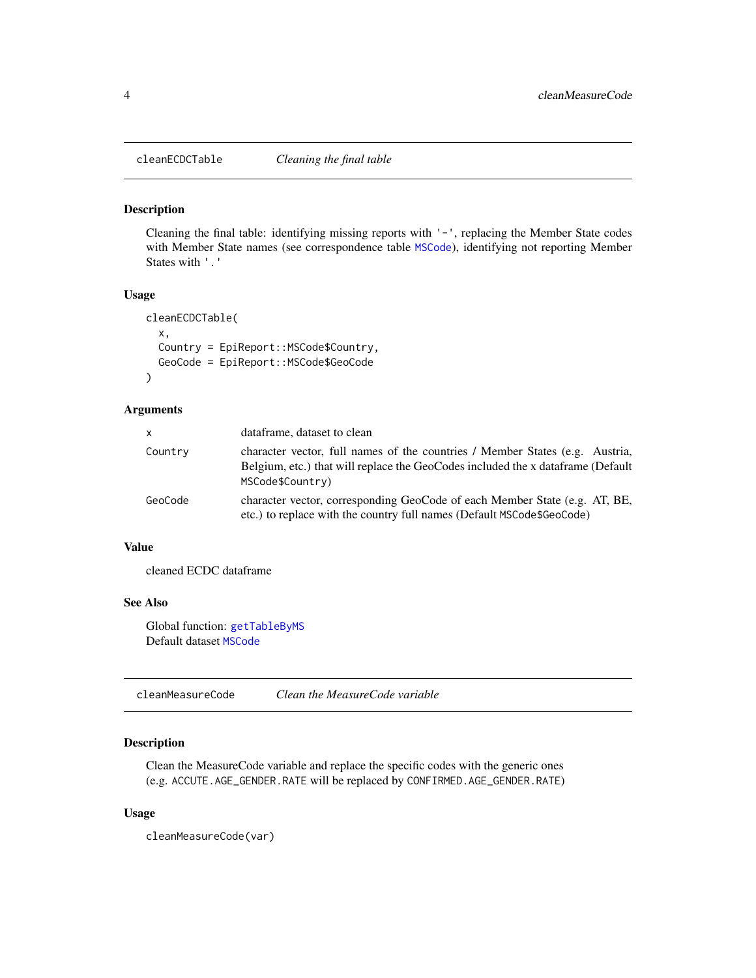<span id="page-3-1"></span><span id="page-3-0"></span>

Cleaning the final table: identifying missing reports with '-', replacing the Member State codes with Member State names (see correspondence table [MSCode](#page-17-1)), identifying not reporting Member States with '.'

### Usage

```
cleanECDCTable(
  x,
 Country = EpiReport:: MSCode$Country,
 GeoCode = EpiReport::MSCode$GeoCode
\lambda
```
#### Arguments

| $\mathsf{x}$ | dataframe, dataset to clean                                                                                                                                                         |
|--------------|-------------------------------------------------------------------------------------------------------------------------------------------------------------------------------------|
| Country      | character vector, full names of the countries / Member States (e.g. Austria,<br>Belgium, etc.) that will replace the GeoCodes included the x dataframe (Default<br>MSCode\$Country) |
| GeoCode      | character vector, corresponding GeoCode of each Member State (e.g. AT, BE,<br>etc.) to replace with the country full names (Default MSCode\$GeoCode)                                |

### Value

cleaned ECDC dataframe

#### See Also

Global function: [getTableByMS](#page-12-1) Default dataset [MSCode](#page-17-1)

cleanMeasureCode *Clean the MeasureCode variable*

## Description

Clean the MeasureCode variable and replace the specific codes with the generic ones (e.g. ACCUTE.AGE\_GENDER.RATE will be replaced by CONFIRMED.AGE\_GENDER.RATE)

#### Usage

cleanMeasureCode(var)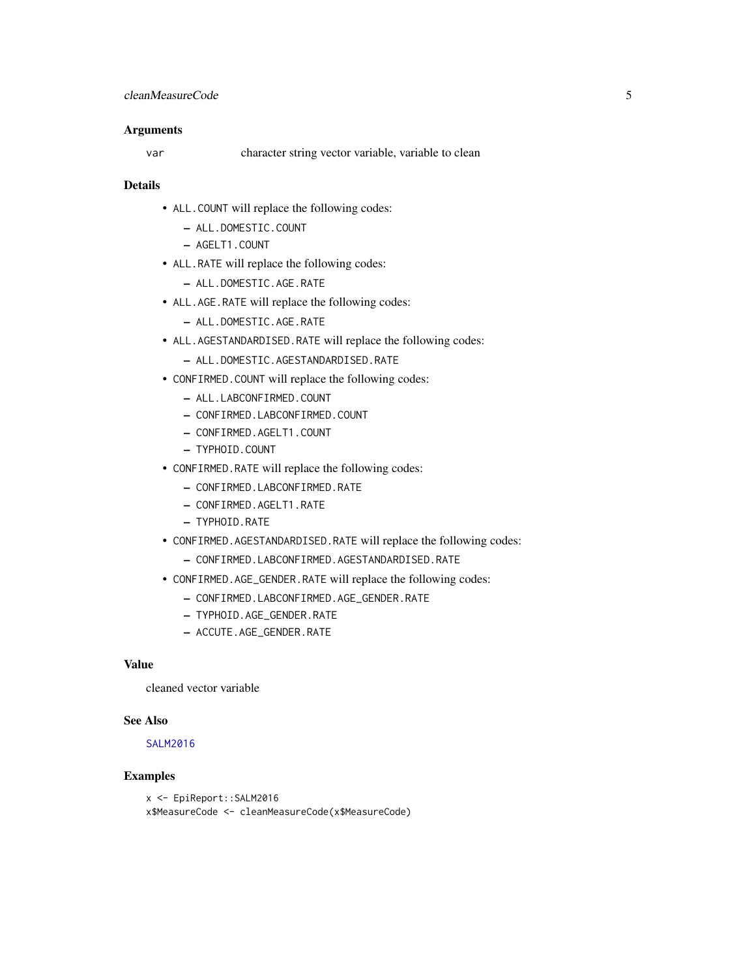#### <span id="page-4-0"></span>**Arguments**

var character string vector variable, variable to clean

## Details

- ALL.COUNT will replace the following codes:
	- ALL.DOMESTIC.COUNT
	- AGELT1.COUNT
- ALL.RATE will replace the following codes:
	- ALL.DOMESTIC.AGE.RATE
- ALL.AGE.RATE will replace the following codes:
	- ALL.DOMESTIC.AGE.RATE
- ALL.AGESTANDARDISED.RATE will replace the following codes:
	- ALL.DOMESTIC.AGESTANDARDISED.RATE
- CONFIRMED.COUNT will replace the following codes:
	- ALL.LABCONFIRMED.COUNT
	- CONFIRMED.LABCONFIRMED.COUNT
	- CONFIRMED.AGELT1.COUNT
	- TYPHOID.COUNT
- CONFIRMED.RATE will replace the following codes:
	- CONFIRMED.LABCONFIRMED.RATE
	- CONFIRMED.AGELT1.RATE
	- TYPHOID.RATE
- CONFIRMED.AGESTANDARDISED.RATE will replace the following codes:
	- CONFIRMED.LABCONFIRMED.AGESTANDARDISED.RATE
- CONFIRMED.AGE\_GENDER.RATE will replace the following codes:
	- CONFIRMED.LABCONFIRMED.AGE\_GENDER.RATE
	- TYPHOID.AGE\_GENDER.RATE
	- ACCUTE.AGE\_GENDER.RATE

## Value

cleaned vector variable

#### See Also

#### [SALM2016](#page-23-1)

### Examples

```
x <- EpiReport::SALM2016
x$MeasureCode <- cleanMeasureCode(x$MeasureCode)
```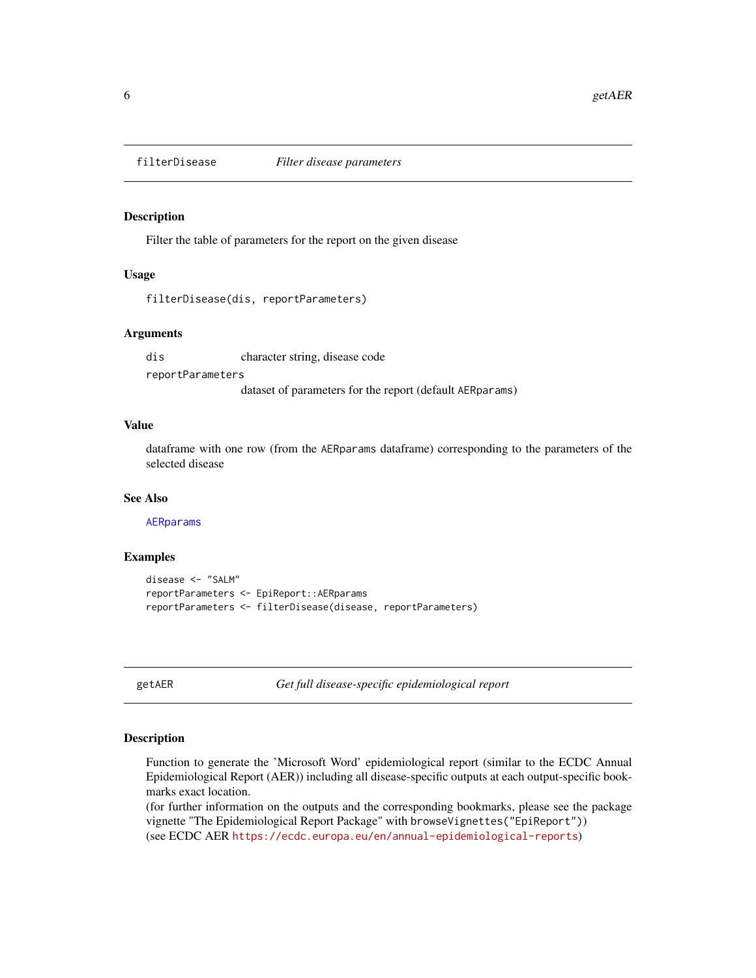<span id="page-5-0"></span>

Filter the table of parameters for the report on the given disease

#### Usage

filterDisease(dis, reportParameters)

## Arguments

dis character string, disease code reportParameters dataset of parameters for the report (default AERparams)

## Value

dataframe with one row (from the AERparams dataframe) corresponding to the parameters of the selected disease

#### See Also

[AERparams](#page-1-1)

## Examples

```
disease <- "SALM"
reportParameters <- EpiReport::AERparams
reportParameters <- filterDisease(disease, reportParameters)
```
<span id="page-5-1"></span>getAER *Get full disease-specific epidemiological report*

#### Description

Function to generate the 'Microsoft Word' epidemiological report (similar to the ECDC Annual Epidemiological Report (AER)) including all disease-specific outputs at each output-specific bookmarks exact location.

(for further information on the outputs and the corresponding bookmarks, please see the package vignette "The Epidemiological Report Package" with browseVignettes("EpiReport")) (see ECDC AER <https://ecdc.europa.eu/en/annual-epidemiological-reports>)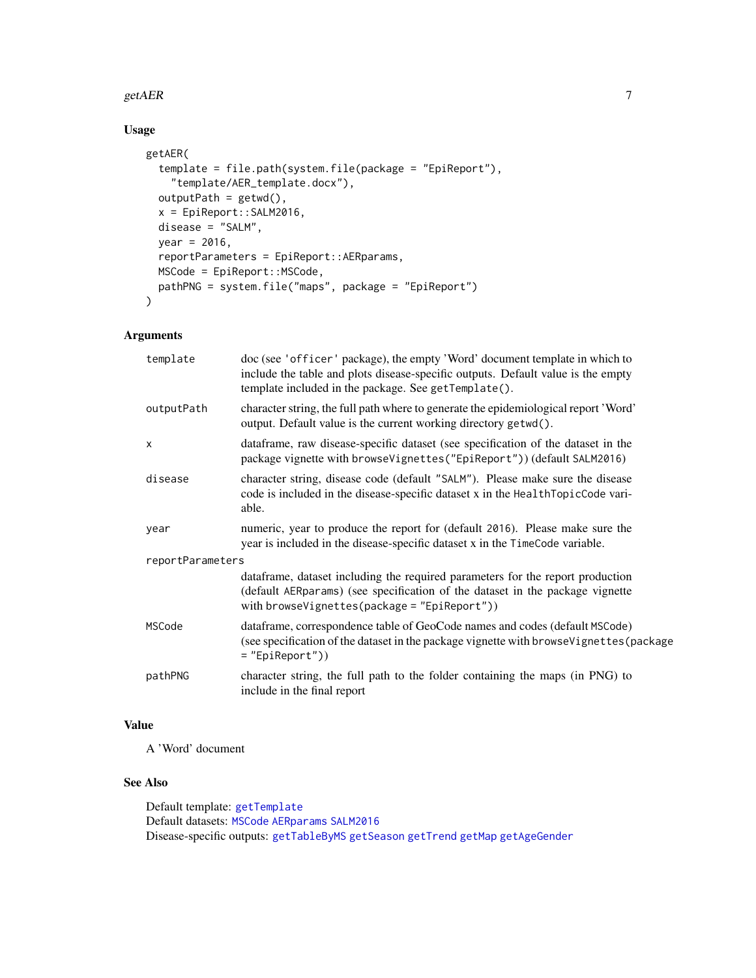#### <span id="page-6-0"></span>getAER  $\overline{7}$

## Usage

```
getAER(
  template = file.path(system.file(package = "EpiReport"),
    "template/AER_template.docx"),
 outputPath = getwd(),
  x = EpiReport::SALM2016,
  disease = "SALM",
 year = 2016,
  reportParameters = EpiReport::AERparams,
 MSCode = EpiReport::MSCode,
 pathPNG = system.file("maps", package = "EpiReport")
\mathcal{L}
```
## Arguments

| template         | doc (see 'officer' package), the empty 'Word' document template in which to<br>include the table and plots disease-specific outputs. Default value is the empty<br>template included in the package. See getTemplate(). |  |
|------------------|-------------------------------------------------------------------------------------------------------------------------------------------------------------------------------------------------------------------------|--|
| outputPath       | character string, the full path where to generate the epidemiological report 'Word'<br>output. Default value is the current working directory getwd().                                                                  |  |
| $\times$         | dataframe, raw disease-specific dataset (see specification of the dataset in the<br>package vignette with browseVignettes("EpiReport")) (default SALM2016)                                                              |  |
| disease          | character string, disease code (default "SALM"). Please make sure the disease<br>code is included in the disease-specific dataset x in the HealthTopicCode vari-<br>able.                                               |  |
| year             | numeric, year to produce the report for (default 2016). Please make sure the<br>year is included in the disease-specific dataset x in the TimeCode variable.                                                            |  |
| reportParameters |                                                                                                                                                                                                                         |  |
|                  | dataframe, dataset including the required parameters for the report production<br>(default AERparams) (see specification of the dataset in the package vignette<br>with browseVignettes(package = $"EpiReport")$ )      |  |
| MSCode           | dataframe, correspondence table of GeoCode names and codes (default MSCode)<br>(see specification of the dataset in the package vignette with browseVignettes (package<br>$=$ "EpiReport"))                             |  |
| pathPNG          | character string, the full path to the folder containing the maps (in PNG) to<br>include in the final report                                                                                                            |  |
|                  |                                                                                                                                                                                                                         |  |

## Value

A 'Word' document

## See Also

Default template: [getTemplate](#page-13-1) Default datasets: [MSCode](#page-17-1) [AERparams](#page-1-1) [SALM2016](#page-23-1) Disease-specific outputs: [getTableByMS](#page-12-1) [getSeason](#page-10-1) [getTrend](#page-14-1) [getMap](#page-9-1) [getAgeGender](#page-7-1)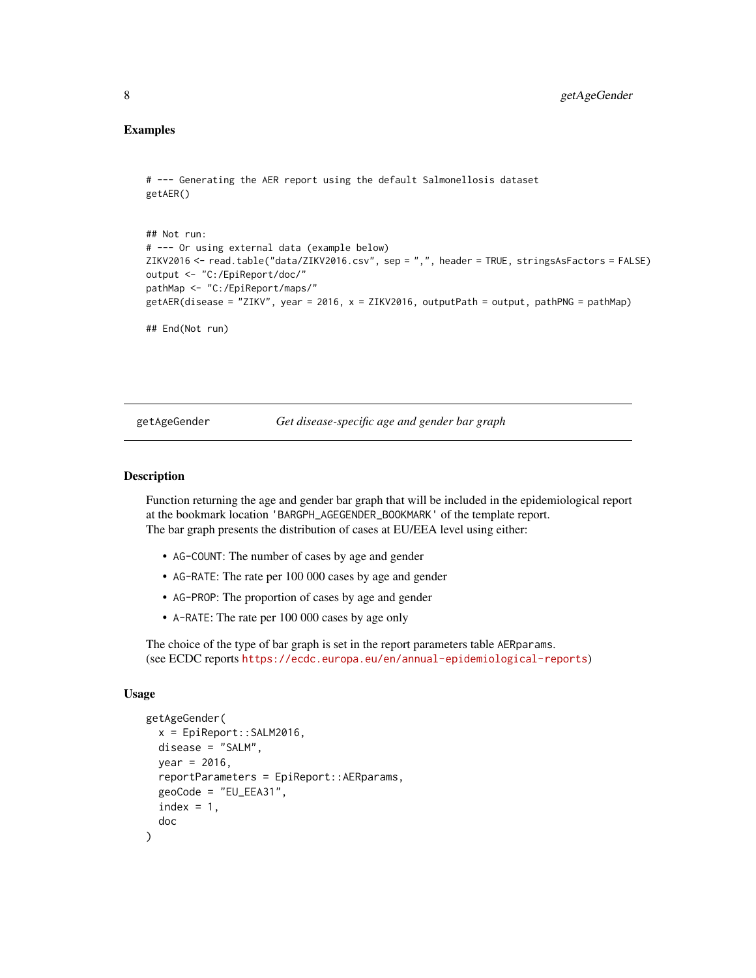## <span id="page-7-0"></span>Examples

```
# --- Generating the AER report using the default Salmonellosis dataset
getAER()
```

```
## Not run:
# --- Or using external data (example below)
ZIKV2016 <- read.table("data/ZIKV2016.csv", sep = ",", header = TRUE, stringsAsFactors = FALSE)
output <- "C:/EpiReport/doc/"
pathMap <- "C:/EpiReport/maps/"
getAER(disease = "ZIKV", year = 2016, x = ZIKV2016, outputPath = output, pathPNG = pathMap)
## End(Not run)
```
<span id="page-7-1"></span>getAgeGender *Get disease-specific age and gender bar graph*

## Description

Function returning the age and gender bar graph that will be included in the epidemiological report at the bookmark location 'BARGPH\_AGEGENDER\_BOOKMARK' of the template report. The bar graph presents the distribution of cases at EU/EEA level using either:

- AG-COUNT: The number of cases by age and gender
- AG-RATE: The rate per 100 000 cases by age and gender
- AG-PROP: The proportion of cases by age and gender
- A-RATE: The rate per 100 000 cases by age only

The choice of the type of bar graph is set in the report parameters table AERparams. (see ECDC reports <https://ecdc.europa.eu/en/annual-epidemiological-reports>)

#### Usage

```
getAgeGender(
  x = EpiReport::SALM2016,
 disease = "SALM",
  year = 2016,
  reportParameters = EpiReport::AERparams,
  geoCode = "EU_EEA31",
  index = 1,
  doc
)
```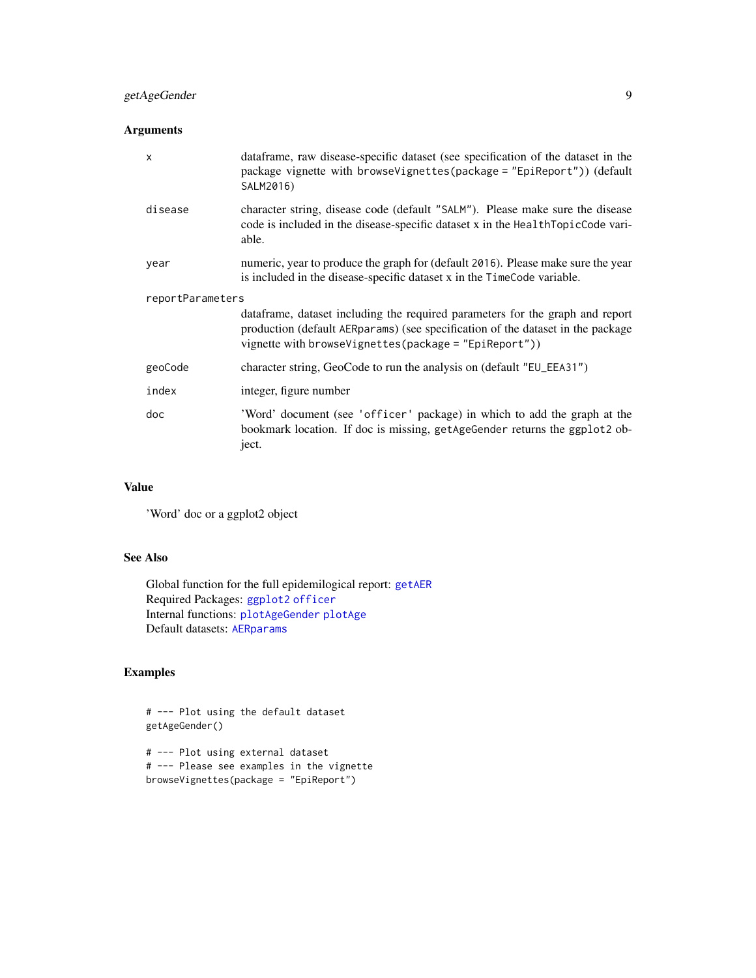## <span id="page-8-0"></span>getAgeGender 9

## Arguments

| $\mathsf{x}$     | dataframe, raw disease-specific dataset (see specification of the dataset in the<br>package vignette with browse Vignettes (package = "EpiReport") (default<br>SALM2016)                                                      |  |
|------------------|-------------------------------------------------------------------------------------------------------------------------------------------------------------------------------------------------------------------------------|--|
| disease          | character string, disease code (default "SALM"). Please make sure the disease<br>code is included in the disease-specific dataset x in the HealthTopicCode vari-<br>able.                                                     |  |
| year             | numeric, year to produce the graph for (default 2016). Please make sure the year<br>is included in the disease-specific dataset x in the TimeCode variable.                                                                   |  |
| reportParameters |                                                                                                                                                                                                                               |  |
|                  | data frame, dataset including the required parameters for the graph and report<br>production (default AERparams) (see specification of the dataset in the package<br>vignette with browseVignettes(package = $"EpiReport")$ ) |  |
| geoCode          | character string, GeoCode to run the analysis on (default "EU_EEA31")                                                                                                                                                         |  |
| index            | integer, figure number                                                                                                                                                                                                        |  |
| doc              | 'Word' document (see 'officer' package) in which to add the graph at the<br>bookmark location. If doc is missing, getAgeGender returns the ggplot2 ob-<br>ject.                                                               |  |

### Value

'Word' doc or a ggplot2 object

## See Also

Global function for the full epidemilogical report: [getAER](#page-5-1) Required Packages: [ggplot2](#page-0-0) [officer](#page-0-0) Internal functions: [plotAgeGender](#page-19-1) [plotAge](#page-18-1) Default datasets: [AERparams](#page-1-1)

## Examples

# --- Plot using the default dataset getAgeGender()

# --- Plot using external dataset # --- Please see examples in the vignette browseVignettes(package = "EpiReport")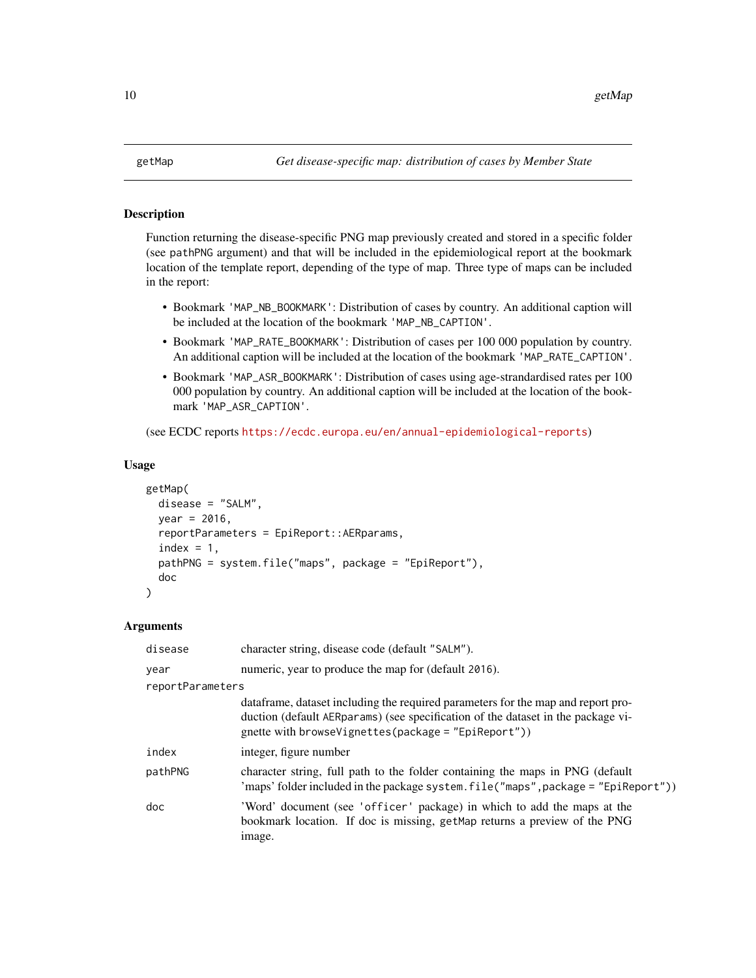<span id="page-9-1"></span><span id="page-9-0"></span>Function returning the disease-specific PNG map previously created and stored in a specific folder (see pathPNG argument) and that will be included in the epidemiological report at the bookmark location of the template report, depending of the type of map. Three type of maps can be included in the report:

- Bookmark 'MAP\_NB\_BOOKMARK': Distribution of cases by country. An additional caption will be included at the location of the bookmark 'MAP\_NB\_CAPTION'.
- Bookmark 'MAP\_RATE\_BOOKMARK': Distribution of cases per 100 000 population by country. An additional caption will be included at the location of the bookmark 'MAP\_RATE\_CAPTION'.
- Bookmark 'MAP\_ASR\_BOOKMARK': Distribution of cases using age-strandardised rates per 100 000 population by country. An additional caption will be included at the location of the bookmark 'MAP\_ASR\_CAPTION'.

(see ECDC reports <https://ecdc.europa.eu/en/annual-epidemiological-reports>)

#### Usage

```
getMap(
  disease = "SALM",
  year = 2016,reportParameters = EpiReport::AERparams,
  index = 1,
  pathPNG = system.file("maps", package = "EpiReport"),
  doc
)
```
#### Arguments

| disease          | character string, disease code (default "SALM").                                                                                                                                                                                |
|------------------|---------------------------------------------------------------------------------------------------------------------------------------------------------------------------------------------------------------------------------|
| year             | numeric, year to produce the map for (default 2016).                                                                                                                                                                            |
| reportParameters |                                                                                                                                                                                                                                 |
|                  | data frame, dataset including the required parameters for the map and report pro-<br>duction (default AERparams) (see specification of the dataset in the package vi-<br>gnette with browseVignettes(package = $"EpiReport")$ ) |
| index            | integer, figure number                                                                                                                                                                                                          |
| pathPNG          | character string, full path to the folder containing the maps in PNG (default<br>'maps' folder included in the package system. file ("maps", package = "EpiReport"))                                                            |
| doc              | 'Word' document (see 'officer' package) in which to add the maps at the<br>bookmark location. If doc is missing, getMap returns a preview of the PNG<br>image.                                                                  |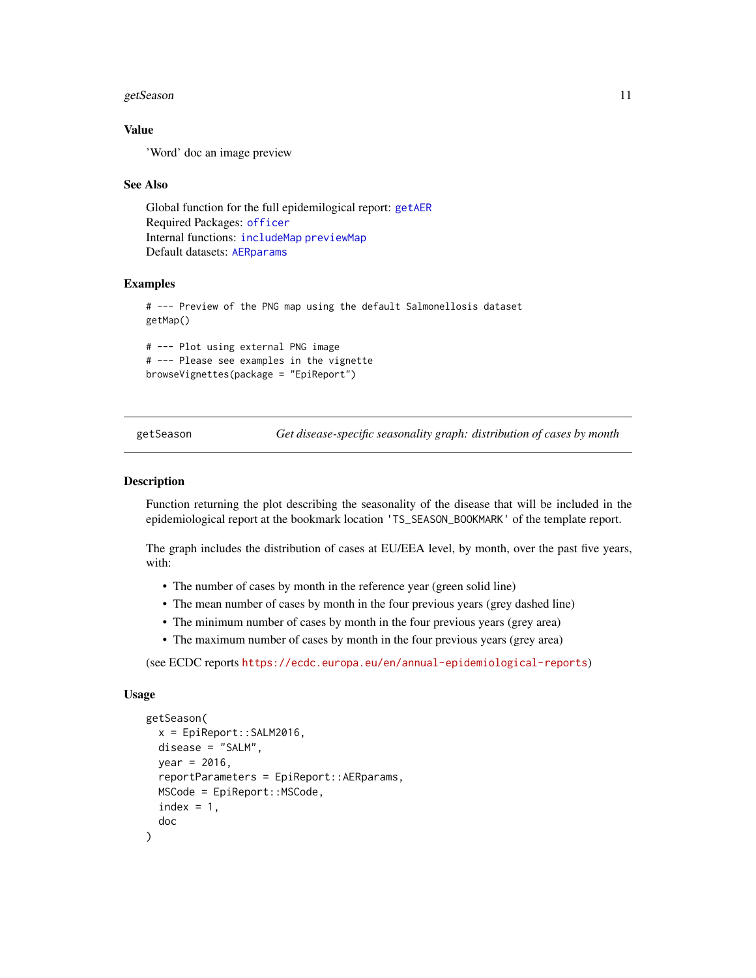#### <span id="page-10-0"></span>getSeason 11

## Value

'Word' doc an image preview

#### See Also

Global function for the full epidemilogical report: [getAER](#page-5-1) Required Packages: [officer](#page-0-0) Internal functions: [includeMap](#page-16-1) [previewMap](#page-23-2) Default datasets: [AERparams](#page-1-1)

## Examples

# --- Preview of the PNG map using the default Salmonellosis dataset getMap()

# --- Plot using external PNG image # --- Please see examples in the vignette browseVignettes(package = "EpiReport")

<span id="page-10-1"></span>getSeason *Get disease-specific seasonality graph: distribution of cases by month*

#### Description

Function returning the plot describing the seasonality of the disease that will be included in the epidemiological report at the bookmark location 'TS\_SEASON\_BOOKMARK' of the template report.

The graph includes the distribution of cases at EU/EEA level, by month, over the past five years, with:

- The number of cases by month in the reference year (green solid line)
- The mean number of cases by month in the four previous years (grey dashed line)
- The minimum number of cases by month in the four previous years (grey area)
- The maximum number of cases by month in the four previous years (grey area)

(see ECDC reports <https://ecdc.europa.eu/en/annual-epidemiological-reports>)

#### Usage

```
getSeason(
  x = EpiReport:: SALM2016,
  disease = "SALM",
  year = 2016,
  reportParameters = EpiReport::AERparams,
  MSCode = EpiReport::MSCode,
  index = 1,doc
)
```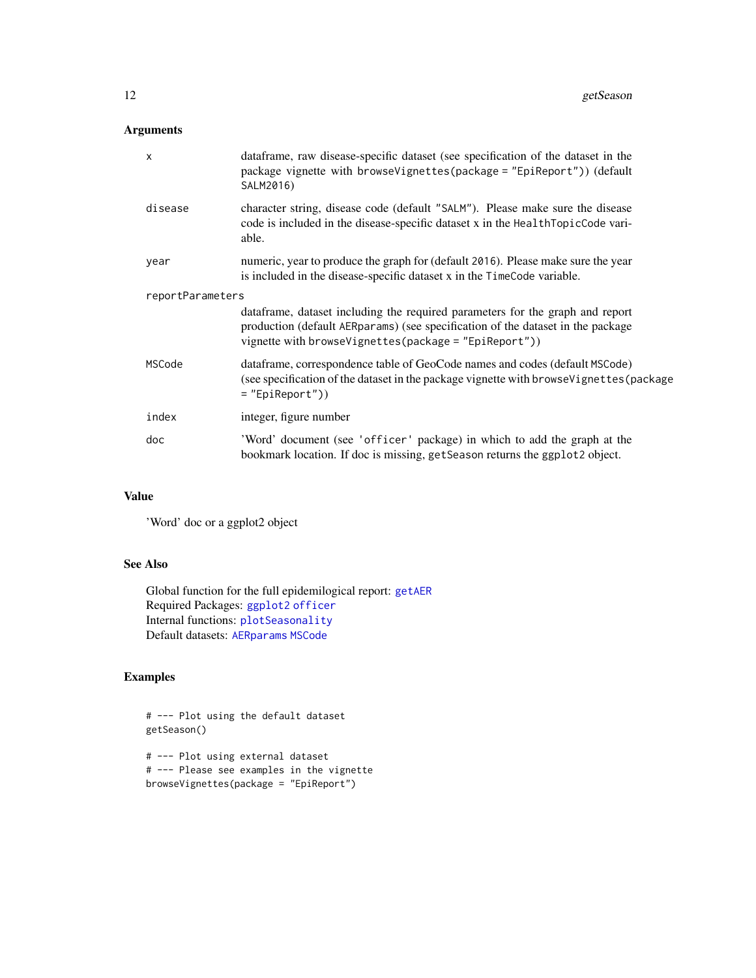## <span id="page-11-0"></span>Arguments

| $\boldsymbol{\mathsf{x}}$ | data frame, raw disease-specific dataset (see specification of the dataset in the<br>package vignette with browseVignettes(package = "EpiReport")) (default<br>SALM2016)                                                     |  |
|---------------------------|------------------------------------------------------------------------------------------------------------------------------------------------------------------------------------------------------------------------------|--|
| disease                   | character string, disease code (default "SALM"). Please make sure the disease<br>code is included in the disease-specific dataset x in the HealthTopicCode vari-<br>able.                                                    |  |
| year                      | numeric, year to produce the graph for (default 2016). Please make sure the year<br>is included in the disease-specific dataset x in the TimeCode variable.                                                                  |  |
| reportParameters          |                                                                                                                                                                                                                              |  |
|                           | dataframe, dataset including the required parameters for the graph and report<br>production (default AERparams) (see specification of the dataset in the package<br>vignette with browseVignettes(package = $"EpiReport")$ ) |  |
| MSCode                    | data frame, correspondence table of GeoCode names and codes (default MSCode)<br>(see specification of the dataset in the package vignette with browse Vignettes (package<br>$=$ "EpiReport"))                                |  |
| index                     | integer, figure number                                                                                                                                                                                                       |  |
| doc                       | 'Word' document (see 'officer' package) in which to add the graph at the<br>bookmark location. If doc is missing, getSeason returns the ggplot2 object.                                                                      |  |

## Value

'Word' doc or a ggplot2 object

## See Also

Global function for the full epidemilogical report: [getAER](#page-5-1) Required Packages: [ggplot2](#page-0-0) [officer](#page-0-0) Internal functions: [plotSeasonality](#page-21-1) Default datasets: [AERparams](#page-1-1) [MSCode](#page-17-1)

## Examples

```
# --- Plot using the default dataset
getSeason()
```
# --- Plot using external dataset # --- Please see examples in the vignette browseVignettes(package = "EpiReport")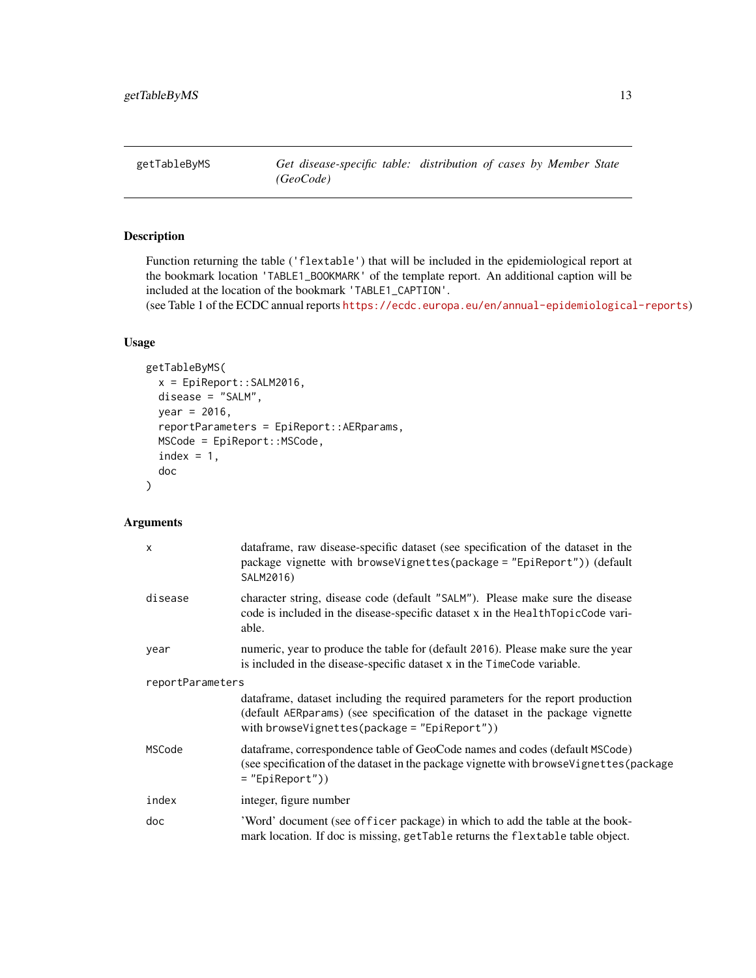<span id="page-12-1"></span><span id="page-12-0"></span>

Function returning the table ('flextable') that will be included in the epidemiological report at the bookmark location 'TABLE1\_BOOKMARK' of the template report. An additional caption will be included at the location of the bookmark 'TABLE1\_CAPTION'.

(see Table 1 of the ECDC annual reports <https://ecdc.europa.eu/en/annual-epidemiological-reports>)

## Usage

```
getTableByMS(
  x = EpiReport:: SALM2016,
  disease = "SALM",
 year = 2016,
  reportParameters = EpiReport::AERparams,
 MSCode = EpiReport::MSCode,
  index = 1,
  doc
)
```
## Arguments

| $\boldsymbol{\mathsf{x}}$ | dataframe, raw disease-specific dataset (see specification of the dataset in the<br>package vignette with browse Vignettes (package = "EpiReport") (default<br>SALM2016)                                           |  |
|---------------------------|--------------------------------------------------------------------------------------------------------------------------------------------------------------------------------------------------------------------|--|
| disease                   | character string, disease code (default "SALM"). Please make sure the disease<br>code is included in the disease-specific dataset x in the HealthTopicCode vari-<br>able.                                          |  |
| year                      | numeric, year to produce the table for (default 2016). Please make sure the year<br>is included in the disease-specific dataset x in the TimeCode variable.                                                        |  |
| reportParameters          |                                                                                                                                                                                                                    |  |
|                           | dataframe, dataset including the required parameters for the report production<br>(default AERparams) (see specification of the dataset in the package vignette<br>with browseVignettes(package = $"EpiReport")$ ) |  |
| MSCode                    | data frame, correspondence table of GeoCode names and codes (default MSCode)<br>(see specification of the dataset in the package vignette with browse Vignettes (package<br>$=$ "EpiReport"))                      |  |
| index                     | integer, figure number                                                                                                                                                                                             |  |
| doc                       | 'Word' document (see officer package) in which to add the table at the book-<br>mark location. If doc is missing, getTable returns the flextable table object.                                                     |  |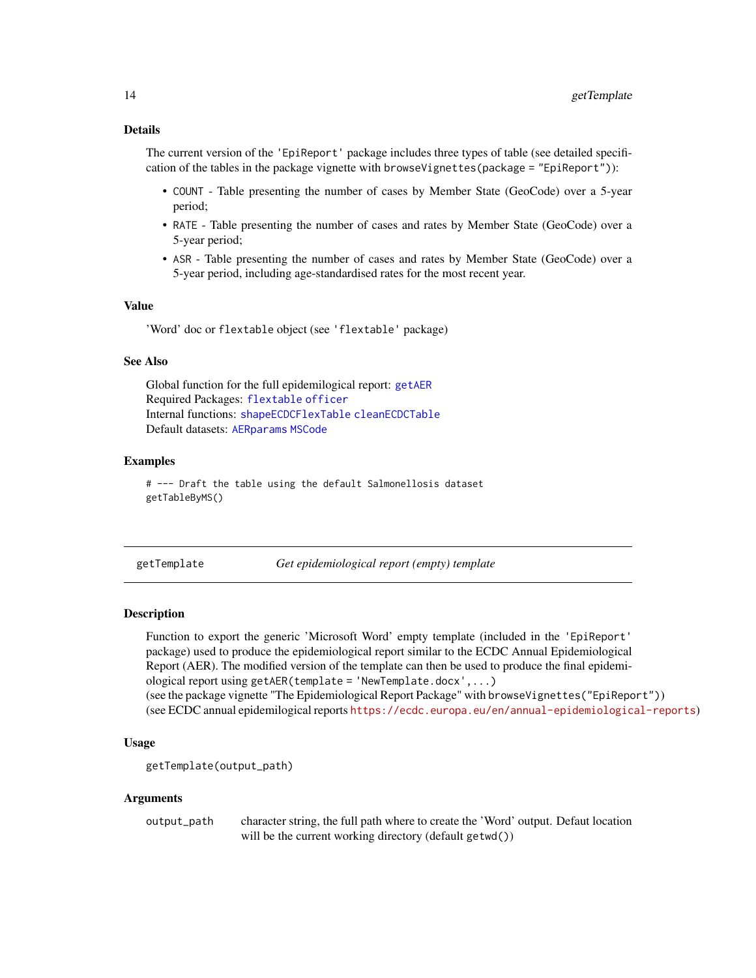## <span id="page-13-0"></span>Details

The current version of the 'EpiReport' package includes three types of table (see detailed specification of the tables in the package vignette with browseVignettes(package = "EpiReport")):

- COUNT Table presenting the number of cases by Member State (GeoCode) over a 5-year period;
- RATE Table presenting the number of cases and rates by Member State (GeoCode) over a 5-year period;
- ASR Table presenting the number of cases and rates by Member State (GeoCode) over a 5-year period, including age-standardised rates for the most recent year.

#### Value

'Word' doc or flextable object (see 'flextable' package)

#### See Also

Global function for the full epidemilogical report: [getAER](#page-5-1) Required Packages: [flextable](#page-0-0) [officer](#page-0-0) Internal functions: [shapeECDCFlexTable](#page-25-1) [cleanECDCTable](#page-3-1) Default datasets: [AERparams](#page-1-1) [MSCode](#page-17-1)

#### Examples

# --- Draft the table using the default Salmonellosis dataset getTableByMS()

<span id="page-13-1"></span>getTemplate *Get epidemiological report (empty) template*

#### Description

Function to export the generic 'Microsoft Word' empty template (included in the 'EpiReport' package) used to produce the epidemiological report similar to the ECDC Annual Epidemiological Report (AER). The modified version of the template can then be used to produce the final epidemiological report using getAER(template = 'NewTemplate.docx',...)

(see the package vignette "The Epidemiological Report Package" with browseVignettes("EpiReport")) (see ECDC annual epidemilogical reports <https://ecdc.europa.eu/en/annual-epidemiological-reports>)

#### Usage

```
getTemplate(output_path)
```
#### Arguments

output\_path character string, the full path where to create the 'Word' output. Defaut location will be the current working directory (default getwd())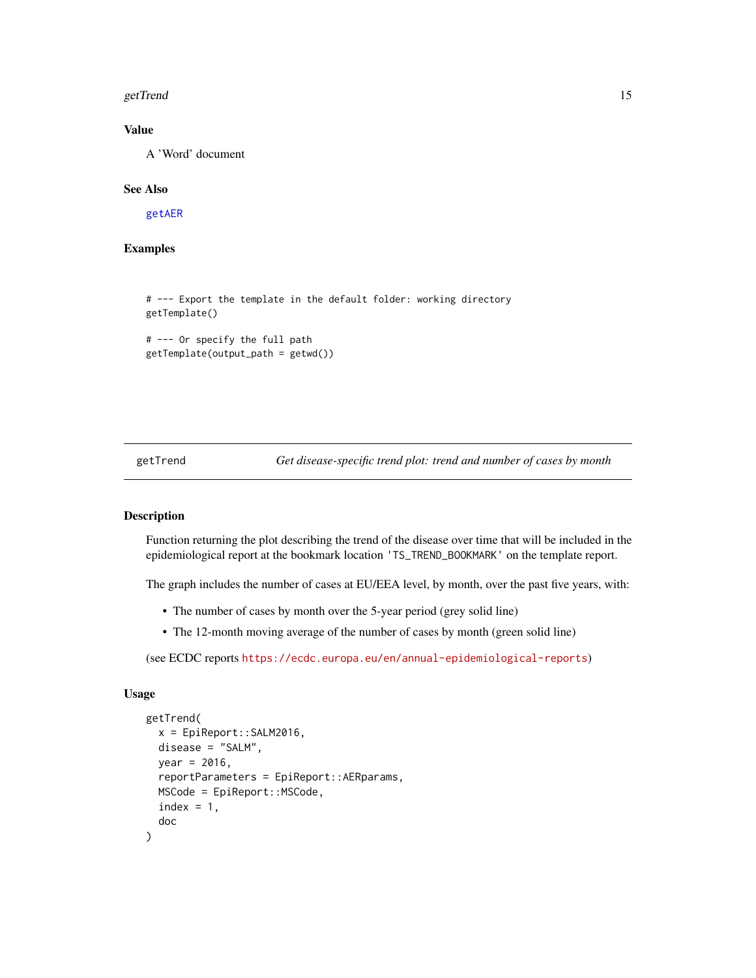#### <span id="page-14-0"></span>getTrend 15

## Value

A 'Word' document

## See Also

[getAER](#page-5-1)

## Examples

# --- Export the template in the default folder: working directory getTemplate()

```
# --- Or specify the full path
getTemplate(output_path = getwd())
```
<span id="page-14-1"></span>getTrend *Get disease-specific trend plot: trend and number of cases by month*

## Description

Function returning the plot describing the trend of the disease over time that will be included in the epidemiological report at the bookmark location 'TS\_TREND\_BOOKMARK' on the template report.

The graph includes the number of cases at EU/EEA level, by month, over the past five years, with:

- The number of cases by month over the 5-year period (grey solid line)
- The 12-month moving average of the number of cases by month (green solid line)

(see ECDC reports <https://ecdc.europa.eu/en/annual-epidemiological-reports>)

#### Usage

```
getTrend(
  x = EpiReport::SALM2016,
  disease = "SALM",
  year = 2016,
  reportParameters = EpiReport::AERparams,
  MSCode = EpiReport::MSCode,
  index = 1,
  doc
)
```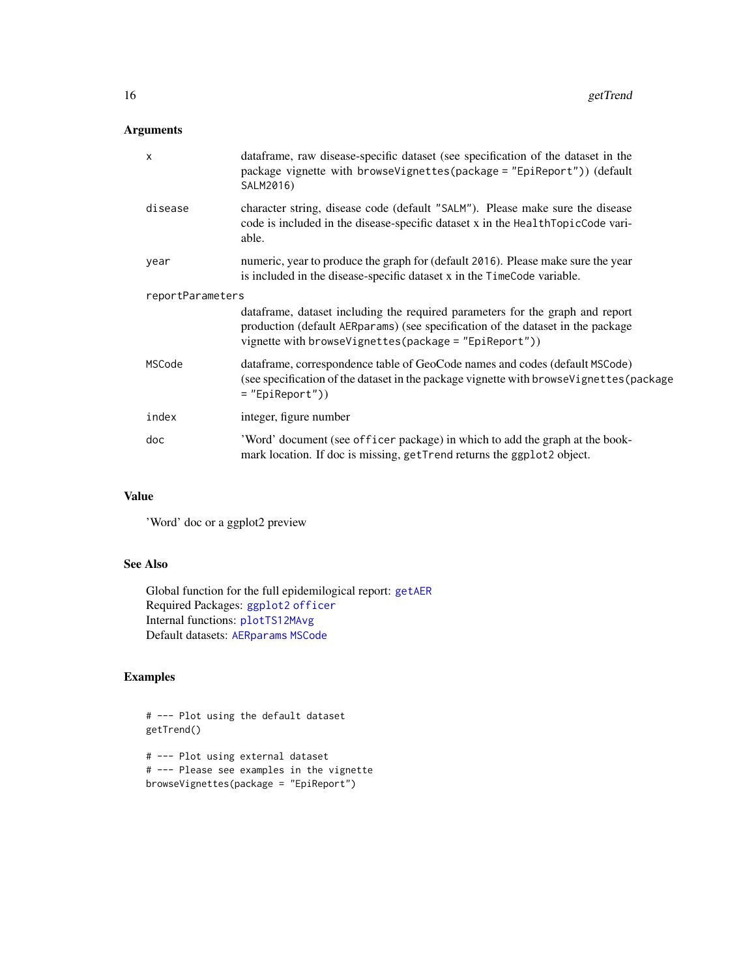## <span id="page-15-0"></span>Arguments

| $\boldsymbol{\mathsf{x}}$ | data frame, raw disease-specific dataset (see specification of the dataset in the<br>package vignette with browseVignettes(package = "EpiReport")) (default<br>SALM2016)                                                     |  |
|---------------------------|------------------------------------------------------------------------------------------------------------------------------------------------------------------------------------------------------------------------------|--|
| disease                   | character string, disease code (default "SALM"). Please make sure the disease<br>code is included in the disease-specific dataset x in the HealthTopicCode vari-<br>able.                                                    |  |
| year                      | numeric, year to produce the graph for (default 2016). Please make sure the year<br>is included in the disease-specific dataset x in the TimeCode variable.                                                                  |  |
| reportParameters          |                                                                                                                                                                                                                              |  |
|                           | dataframe, dataset including the required parameters for the graph and report<br>production (default AERparams) (see specification of the dataset in the package<br>vignette with browseVignettes(package = $"EpiReport")$ ) |  |
| MSCode                    | data frame, correspondence table of GeoCode names and codes (default MSCode)<br>(see specification of the dataset in the package vignette with browse Vignettes (package<br>$=$ "EpiReport"))                                |  |
| index                     | integer, figure number                                                                                                                                                                                                       |  |
| doc                       | 'Word' document (see officer package) in which to add the graph at the book-<br>mark location. If doc is missing, getTrend returns the ggplot2 object.                                                                       |  |

## Value

'Word' doc or a ggplot2 preview

## See Also

Global function for the full epidemilogical report: [getAER](#page-5-1) Required Packages: [ggplot2](#page-0-0) [officer](#page-0-0) Internal functions: [plotTS12MAvg](#page-22-1) Default datasets: [AERparams](#page-1-1) [MSCode](#page-17-1)

## Examples

```
# --- Plot using the default dataset
getTrend()
```
# --- Plot using external dataset # --- Please see examples in the vignette browseVignettes(package = "EpiReport")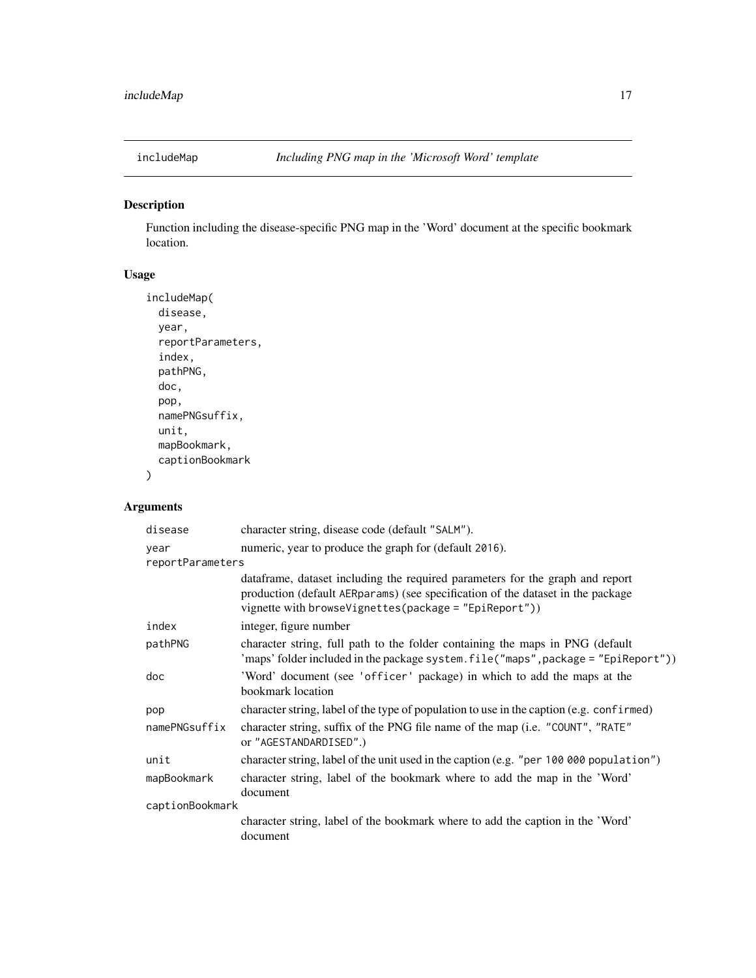<span id="page-16-1"></span><span id="page-16-0"></span>

Function including the disease-specific PNG map in the 'Word' document at the specific bookmark location.

## Usage

```
includeMap(
  disease,
  year,
  reportParameters,
  index,
  pathPNG,
  doc,
  pop,
  namePNGsuffix,
  unit,
  mapBookmark,
  captionBookmark
\mathcal{L}
```
## Arguments

| disease          | character string, disease code (default "SALM").                                                                                                                                                                             |
|------------------|------------------------------------------------------------------------------------------------------------------------------------------------------------------------------------------------------------------------------|
| year             | numeric, year to produce the graph for (default 2016).                                                                                                                                                                       |
| reportParameters |                                                                                                                                                                                                                              |
|                  | dataframe, dataset including the required parameters for the graph and report<br>production (default AERparams) (see specification of the dataset in the package<br>vignette with browseVignettes(package = $"EpiReport")$ ) |
| index            | integer, figure number                                                                                                                                                                                                       |
| pathPNG          | character string, full path to the folder containing the maps in PNG (default<br>'maps' folder included in the package system.file("maps", package = "EpiReport"))                                                           |
| doc              | 'Word' document (see 'officer' package) in which to add the maps at the<br>bookmark location                                                                                                                                 |
| pop              | character string, label of the type of population to use in the caption (e.g. confirmed)                                                                                                                                     |
| namePNGsuffix    | character string, suffix of the PNG file name of the map (i.e. "COUNT", "RATE"<br>or "AGESTANDARDISED".)                                                                                                                     |
| unit             | character string, label of the unit used in the caption (e.g. "per 100 000 population")                                                                                                                                      |
| mapBookmark      | character string, label of the bookmark where to add the map in the 'Word'<br>document                                                                                                                                       |
| captionBookmark  |                                                                                                                                                                                                                              |
|                  | character string, label of the bookmark where to add the caption in the 'Word'<br>document                                                                                                                                   |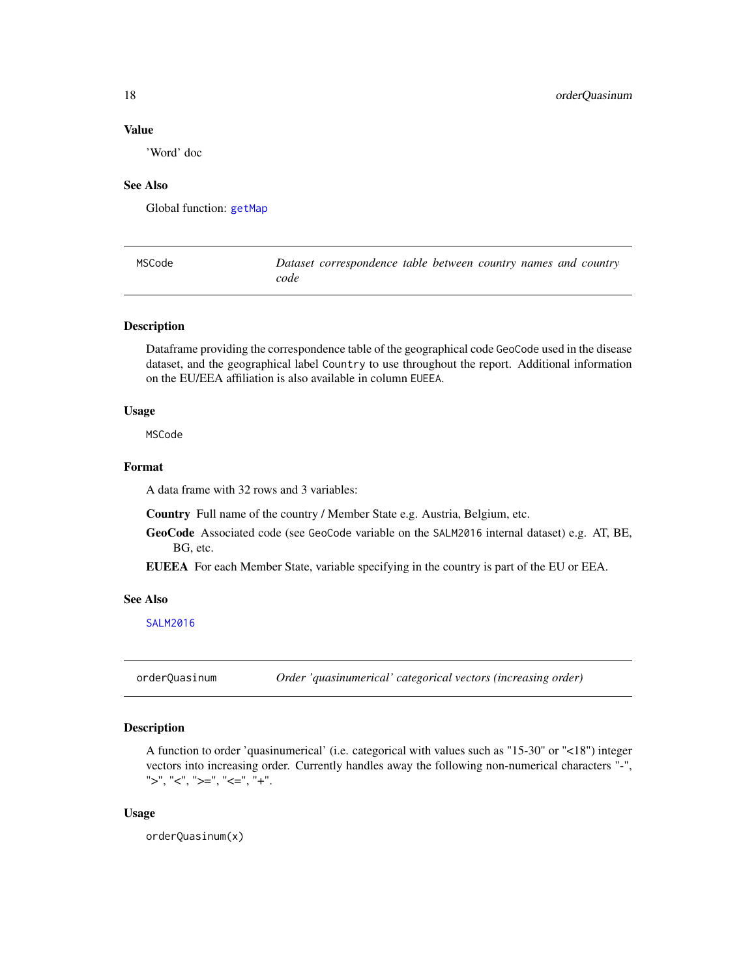## <span id="page-17-0"></span>Value

'Word' doc

## See Also

Global function: [getMap](#page-9-1)

<span id="page-17-1"></span>

| MSCode | Dataset correspondence table between country names and country |
|--------|----------------------------------------------------------------|
|        | code                                                           |

## Description

Dataframe providing the correspondence table of the geographical code GeoCode used in the disease dataset, and the geographical label Country to use throughout the report. Additional information on the EU/EEA affiliation is also available in column EUEEA.

#### Usage

MSCode

## Format

A data frame with 32 rows and 3 variables:

Country Full name of the country / Member State e.g. Austria, Belgium, etc.

GeoCode Associated code (see GeoCode variable on the SALM2016 internal dataset) e.g. AT, BE, BG, etc.

EUEEA For each Member State, variable specifying in the country is part of the EU or EEA.

#### See Also

[SALM2016](#page-23-1)

orderQuasinum *Order 'quasinumerical' categorical vectors (increasing order)*

## Description

A function to order 'quasinumerical' (i.e. categorical with values such as "15-30" or "<18") integer vectors into increasing order. Currently handles away the following non-numerical characters "-",  $">'', "<", ">=", "<=", "<=", "+".$ 

#### Usage

orderQuasinum(x)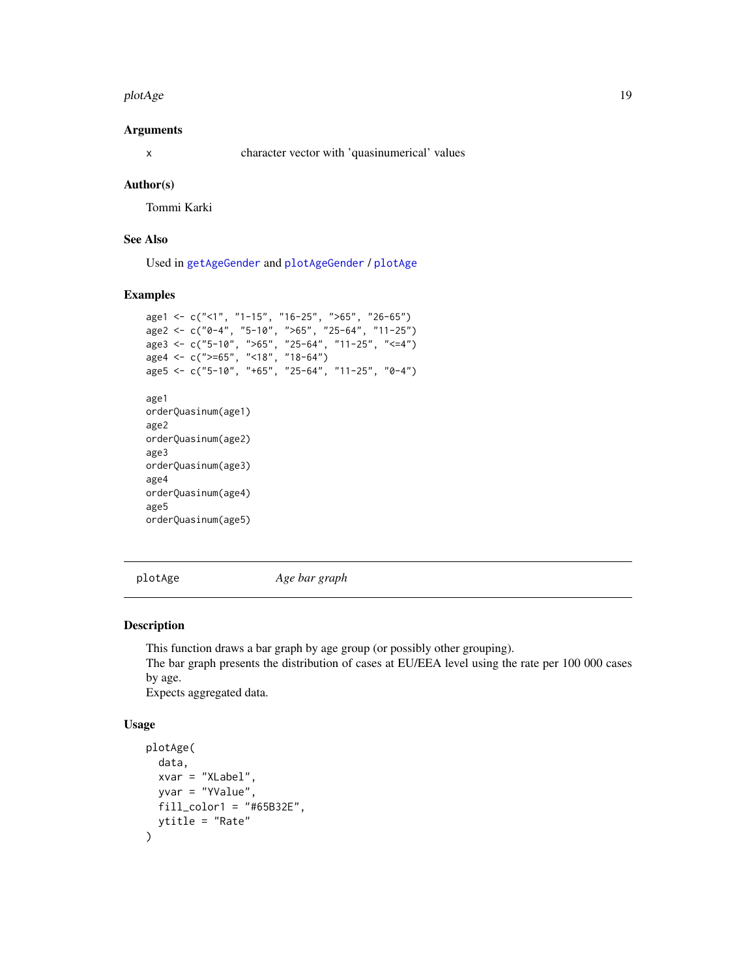#### <span id="page-18-0"></span>plotAge the contract of the contract of the contract of the contract of the contract of the contract of the contract of the contract of the contract of the contract of the contract of the contract of the contract of the co

#### Arguments

x character vector with 'quasinumerical' values

### Author(s)

Tommi Karki

## See Also

Used in [getAgeGender](#page-7-1) and [plotAgeGender](#page-19-1) / [plotAge](#page-18-1)

## Examples

```
age1 <- c("<1", "1-15", "16-25", ">65", "26-65")
age2 <- c("0-4", "5-10", ">65", "25-64", "11-25")
age3 <- c("5-10", ">65", "25-64", "11-25", "<=4")
age4 \leftarrow c(">=65", "<18", "18-64")age5 <- c("5-10", "+65", "25-64", "11-25", "0-4")
age1
orderQuasinum(age1)
age2
orderQuasinum(age2)
age3
orderQuasinum(age3)
age4
orderQuasinum(age4)
age5
orderQuasinum(age5)
```
<span id="page-18-1"></span>plotAge *Age bar graph*

#### Description

This function draws a bar graph by age group (or possibly other grouping). The bar graph presents the distribution of cases at EU/EEA level using the rate per 100 000 cases by age.

Expects aggregated data.

#### Usage

```
plotAge(
  data,
  xvar = "XLabel",
  yvar = "YValue",
  fill_color1 = "#65B32E",
  ytitle = "Rate"
\mathcal{E}
```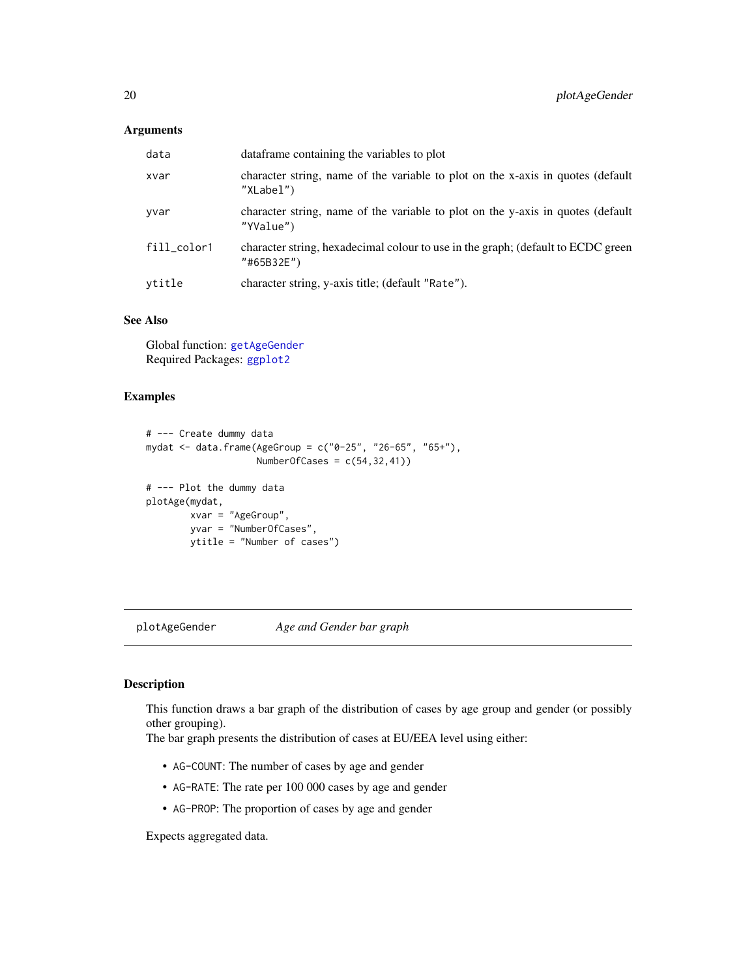## <span id="page-19-0"></span>Arguments

| data        | data frame containing the variables to plot                                                    |
|-------------|------------------------------------------------------------------------------------------------|
| xvar        | character string, name of the variable to plot on the x-axis in quotes (default<br>"XLabel")   |
| yvar        | character string, name of the variable to plot on the y-axis in quotes (default<br>"YValue")   |
| fill_color1 | character string, hexadecimal colour to use in the graph; (default to ECDC green<br>"#65B32E") |
| ytitle      | character string, y-axis title; (default "Rate").                                              |

## See Also

Global function: [getAgeGender](#page-7-1) Required Packages: [ggplot2](#page-0-0)

#### Examples

```
# --- Create dummy data
mydat <- data.frame(AgeGroup = c("0-25", "26-65", "65+"),
                   NumberOfCases = c(54,32,41))
# --- Plot the dummy data
plotAge(mydat,
       xvar = "AgeGroup",
       yvar = "NumberOfCases",
       ytitle = "Number of cases")
```
<span id="page-19-1"></span>plotAgeGender *Age and Gender bar graph*

### Description

This function draws a bar graph of the distribution of cases by age group and gender (or possibly other grouping).

The bar graph presents the distribution of cases at EU/EEA level using either:

- AG-COUNT: The number of cases by age and gender
- AG-RATE: The rate per 100 000 cases by age and gender
- AG-PROP: The proportion of cases by age and gender

Expects aggregated data.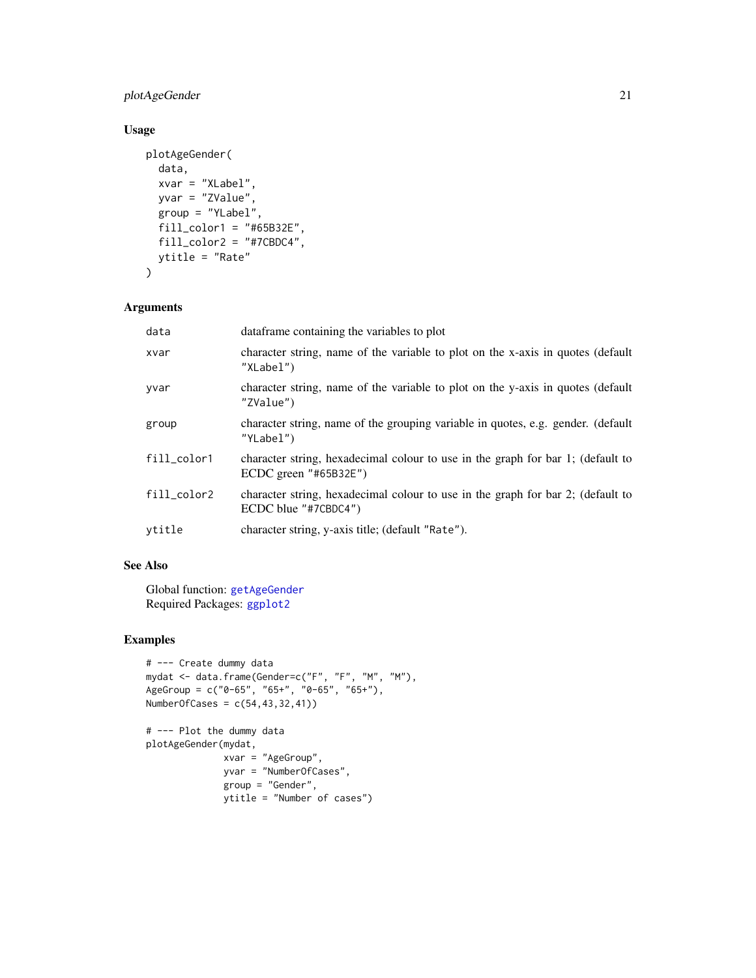## <span id="page-20-0"></span>plotAgeGender 21

## Usage

```
plotAgeGender(
  data,
 xvar = "XLabel",
 yvar = "ZValue",
 group = "YLabel",
 fill_color1 = "#65B32E",
 fill_color2 = "#7CBDC4",
 ytitle = "Rate"
\mathcal{L}
```
## Arguments

| data        | data frame containing the variables to plot                                                               |
|-------------|-----------------------------------------------------------------------------------------------------------|
| xvar        | character string, name of the variable to plot on the x-axis in quotes (default<br>"XLabel")              |
| yvar        | character string, name of the variable to plot on the y-axis in quotes (default<br>"ZValue")              |
| group       | character string, name of the grouping variable in quotes, e.g. gender. (default<br>"YLabel")             |
| fill_color1 | character string, hexadecimal colour to use in the graph for bar 1; (default to<br>ECDC green $"#65B32E"$ |
| fill_color2 | character string, hexadecimal colour to use in the graph for bar 2; (default to<br>ECDC blue "#7CBDC4")   |
| vtitle      | character string, y-axis title; (default "Rate").                                                         |

## See Also

Global function: [getAgeGender](#page-7-1) Required Packages: [ggplot2](#page-0-0)

## Examples

```
# --- Create dummy data
mydat <- data.frame(Gender=c("F", "F", "M", "M"),
AgeGroup = c("0-65", "65+", "0-65", "65+"),
NumberOfCases = c(54,43,32,41))
```

```
# --- Plot the dummy data
plotAgeGender(mydat,
             xvar = "AgeGroup",
             yvar = "NumberOfCases",
             group = "Gender",
             ytitle = "Number of cases")
```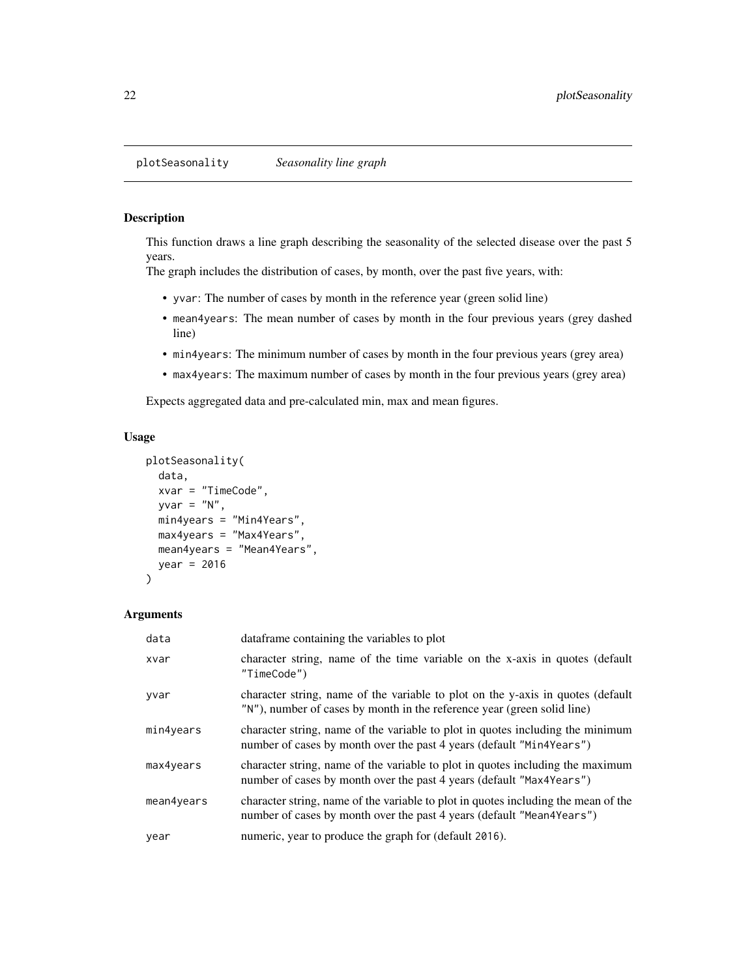<span id="page-21-1"></span><span id="page-21-0"></span>This function draws a line graph describing the seasonality of the selected disease over the past 5 years.

The graph includes the distribution of cases, by month, over the past five years, with:

- yvar: The number of cases by month in the reference year (green solid line)
- mean4years: The mean number of cases by month in the four previous years (grey dashed line)
- min4years: The minimum number of cases by month in the four previous years (grey area)
- max4years: The maximum number of cases by month in the four previous years (grey area)

Expects aggregated data and pre-calculated min, max and mean figures.

#### Usage

```
plotSeasonality(
  data,
  xvar = "TimeCode",
 yvar = "N",min4years = "Min4Years",
  max4years = "Max4Years",
 mean4years = "Mean4Years",
  year = 2016
\mathcal{L}
```
#### Arguments

| data       | data frame containing the variables to plot                                                                                                                 |
|------------|-------------------------------------------------------------------------------------------------------------------------------------------------------------|
| xvar       | character string, name of the time variable on the x-axis in quotes (default<br>"TimeCode")                                                                 |
| yvar       | character string, name of the variable to plot on the y-axis in quotes (default<br>"N"), number of cases by month in the reference year (green solid line)  |
| min4years  | character string, name of the variable to plot in quotes including the minimum<br>number of cases by month over the past 4 years (default "Min4Years")      |
| max4years  | character string, name of the variable to plot in quotes including the maximum<br>number of cases by month over the past 4 years (default "Max4Years")      |
| mean4years | character string, name of the variable to plot in quotes including the mean of the<br>number of cases by month over the past 4 years (default "Mean4Years") |
| year       | numeric, year to produce the graph for (default 2016).                                                                                                      |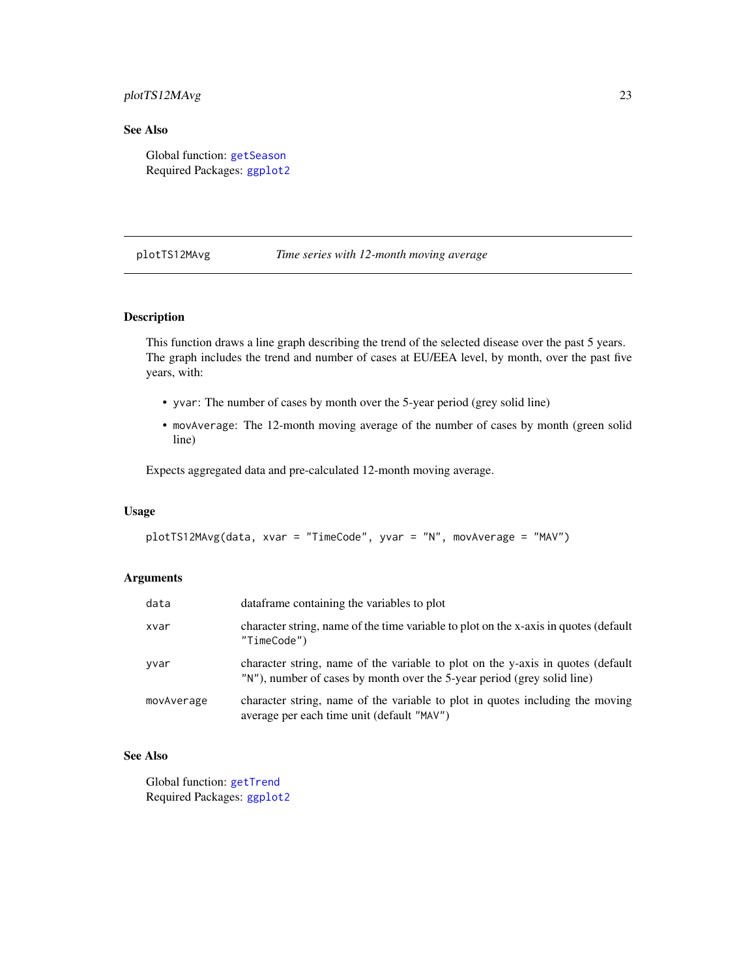## <span id="page-22-0"></span>plotTS12MAvg 23

## See Also

Global function: [getSeason](#page-10-1) Required Packages: [ggplot2](#page-0-0)

#### <span id="page-22-1"></span>plotTS12MAvg *Time series with 12-month moving average*

## Description

This function draws a line graph describing the trend of the selected disease over the past 5 years. The graph includes the trend and number of cases at EU/EEA level, by month, over the past five years, with:

- yvar: The number of cases by month over the 5-year period (grey solid line)
- movAverage: The 12-month moving average of the number of cases by month (green solid line)

Expects aggregated data and pre-calculated 12-month moving average.

#### Usage

```
plotTS12MAvg(data, xvar = "TimeCode", yvar = "N", movAverage = "MAV")
```
#### Arguments

| data       | data frame containing the variables to plot                                                                                                                |
|------------|------------------------------------------------------------------------------------------------------------------------------------------------------------|
| xvar       | character string, name of the time variable to plot on the x-axis in quotes (default<br>"TimeCode")                                                        |
| yvar       | character string, name of the variable to plot on the y-axis in quotes (default<br>"N"), number of cases by month over the 5-year period (grey solid line) |
| movAverage | character string, name of the variable to plot in quotes including the moving<br>average per each time unit (default "MAV")                                |

## See Also

Global function: [getTrend](#page-14-1) Required Packages: [ggplot2](#page-0-0)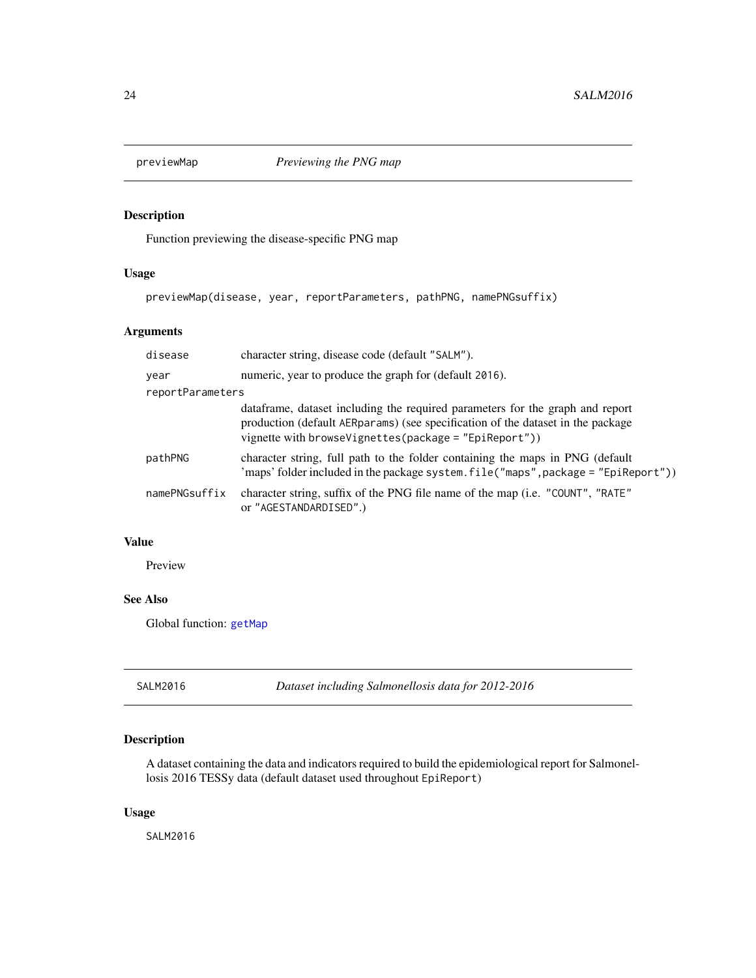<span id="page-23-2"></span><span id="page-23-0"></span>

Function previewing the disease-specific PNG map

## Usage

previewMap(disease, year, reportParameters, pathPNG, namePNGsuffix)

## Arguments

| disease          | character string, disease code (default "SALM").                                                                                                                                                                           |  |
|------------------|----------------------------------------------------------------------------------------------------------------------------------------------------------------------------------------------------------------------------|--|
| year             | numeric, year to produce the graph for (default 2016).                                                                                                                                                                     |  |
| reportParameters |                                                                                                                                                                                                                            |  |
|                  | data frame, dataset including the required parameters for the graph and report<br>production (default AERparams) (see specification of the dataset in the package<br>vignette with browseVignettes(package = "EpiReport")) |  |
| pathPNG          | character string, full path to the folder containing the maps in PNG (default<br>'maps' folder included in the package system.file("maps", package = "EpiReport"))                                                         |  |
| namePNGsuffix    | character string, suffix of the PNG file name of the map (i.e. "COUNT", "RATE"<br>or "AGESTANDARDISED".)                                                                                                                   |  |

## Value

Preview

## See Also

Global function: [getMap](#page-9-1)

<span id="page-23-1"></span>SALM2016 *Dataset including Salmonellosis data for 2012-2016*

## Description

A dataset containing the data and indicators required to build the epidemiological report for Salmonellosis 2016 TESSy data (default dataset used throughout EpiReport)

#### Usage

SALM2016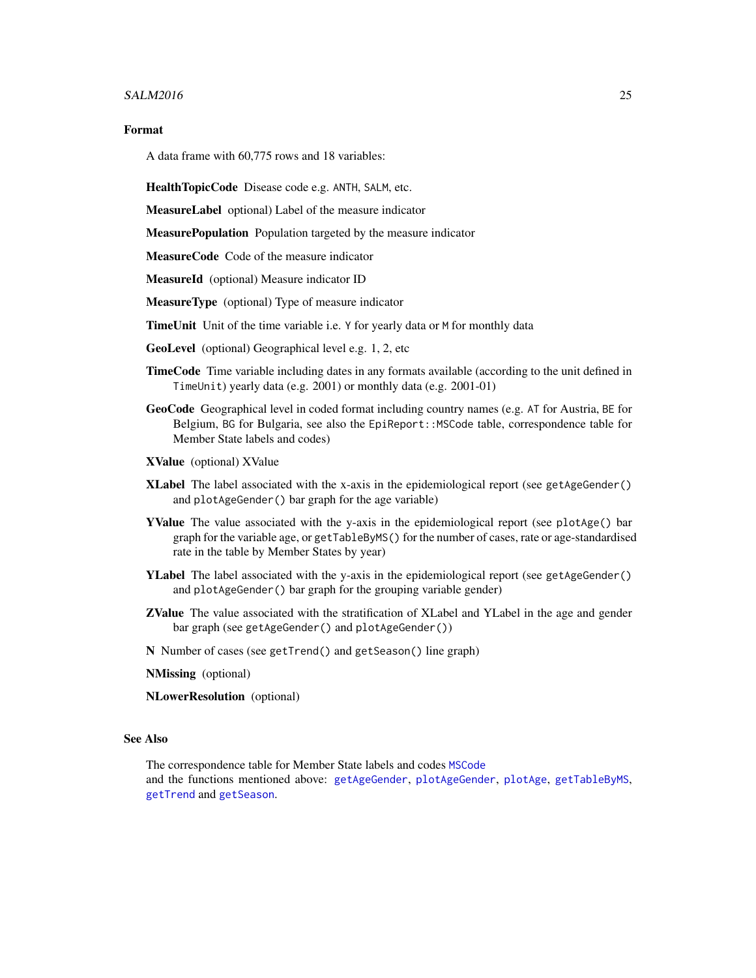#### <span id="page-24-0"></span> $SALM2016$  25

#### Format

A data frame with 60,775 rows and 18 variables:

HealthTopicCode Disease code e.g. ANTH, SALM, etc.

MeasureLabel optional) Label of the measure indicator

MeasurePopulation Population targeted by the measure indicator

MeasureCode Code of the measure indicator

MeasureId (optional) Measure indicator ID

MeasureType (optional) Type of measure indicator

TimeUnit Unit of the time variable i.e. Y for yearly data or M for monthly data

GeoLevel (optional) Geographical level e.g. 1, 2, etc

- TimeCode Time variable including dates in any formats available (according to the unit defined in TimeUnit) yearly data (e.g. 2001) or monthly data (e.g. 2001-01)
- GeoCode Geographical level in coded format including country names (e.g. AT for Austria, BE for Belgium, BG for Bulgaria, see also the EpiReport::MSCode table, correspondence table for Member State labels and codes)

XValue (optional) XValue

- **XLabel** The label associated with the x-axis in the epidemiological report (see getAgeGender() and plotAgeGender() bar graph for the age variable)
- YValue The value associated with the y-axis in the epidemiological report (see plotAge() bar graph for the variable age, or getTableByMS() for the number of cases, rate or age-standardised rate in the table by Member States by year)
- YLabel The label associated with the y-axis in the epidemiological report (see getAgeGender() and plotAgeGender() bar graph for the grouping variable gender)
- ZValue The value associated with the stratification of XLabel and YLabel in the age and gender bar graph (see getAgeGender() and plotAgeGender())
- N Number of cases (see getTrend() and getSeason() line graph)

NMissing (optional)

NLowerResolution (optional)

#### See Also

The correspondence table for Member State labels and codes [MSCode](#page-17-1) and the functions mentioned above: [getAgeGender](#page-7-1), [plotAgeGender](#page-19-1), [plotAge](#page-18-1), [getTableByMS](#page-12-1), [getTrend](#page-14-1) and [getSeason](#page-10-1).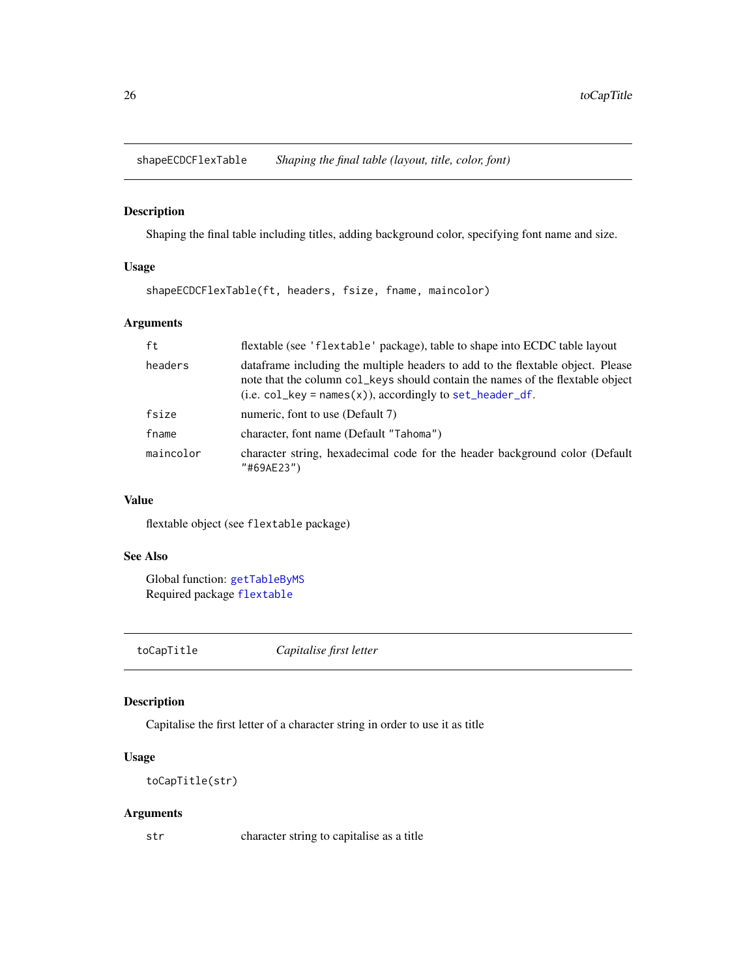<span id="page-25-1"></span><span id="page-25-0"></span>shapeECDCFlexTable *Shaping the final table (layout, title, color, font)*

## Description

Shaping the final table including titles, adding background color, specifying font name and size.

#### Usage

shapeECDCFlexTable(ft, headers, fsize, fname, maincolor)

## Arguments

| ft        | flextable (see 'flextable' package), table to shape into ECDC table layout                                                                                                                                                         |
|-----------|------------------------------------------------------------------------------------------------------------------------------------------------------------------------------------------------------------------------------------|
| headers   | dataframe including the multiple headers to add to the flextable object. Please<br>note that the column col_keys should contain the names of the flextable object<br>$(i.e. col_{key} = names(x))$ , accordingly to set_header_df. |
| fsize     | numeric, font to use (Default 7)                                                                                                                                                                                                   |
| fname     | character, font name (Default "Tahoma")                                                                                                                                                                                            |
| maincolor | character string, hexadecimal code for the header background color (Default<br>"#69AE23")                                                                                                                                          |

#### Value

flextable object (see flextable package)

## See Also

Global function: [getTableByMS](#page-12-1) Required package [flextable](#page-0-0)

toCapTitle *Capitalise first letter*

## Description

Capitalise the first letter of a character string in order to use it as title

## Usage

toCapTitle(str)

## Arguments

str character string to capitalise as a title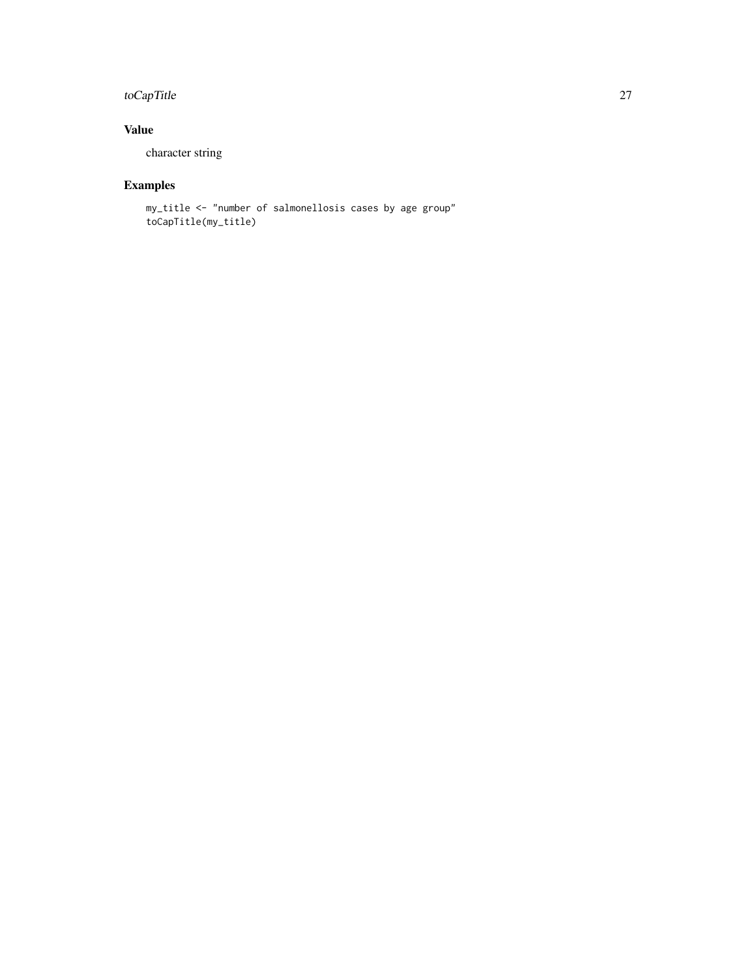## toCapTitle 27

## Value

character string

## Examples

my\_title <- "number of salmonellosis cases by age group" toCapTitle(my\_title)